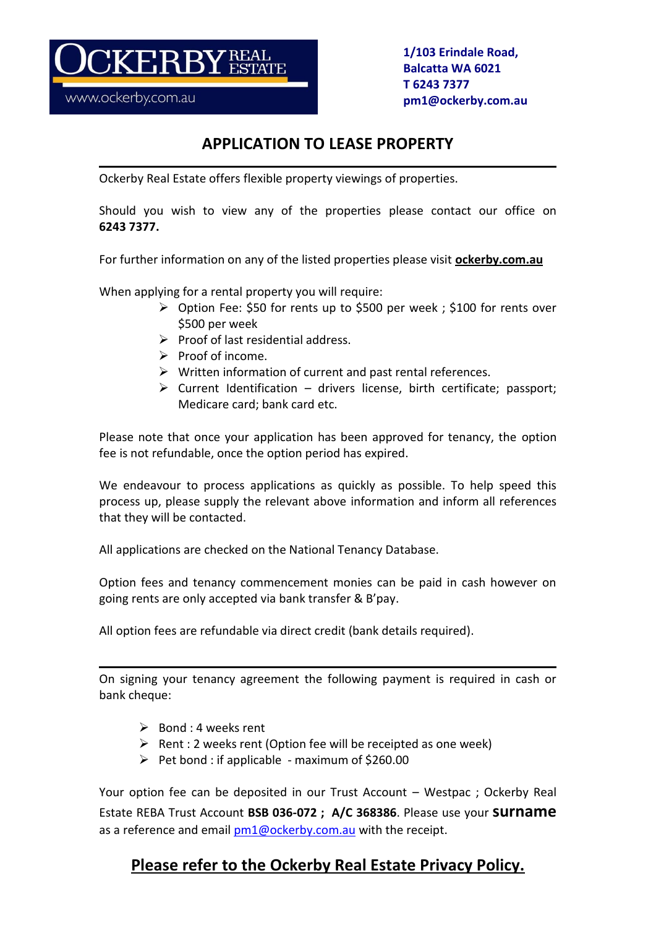www.ockerby.com.au

ERBY

**1/103 Erindale Road, Balcatta WA 6021 T 6243 7377 pm1@ockerby.com.au**

## **APPLICATION TO LEASE PROPERTY**

Ockerby Real Estate offers flexible property viewings of properties.

Should you wish to view any of the properties please contact our office on **6243 7377.**

For further information on any of the listed properties please visit **ockerby.com.au**

When applying for a rental property you will require:

- Option Fee: \$50 for rents up to \$500 per week ; \$100 for rents over \$500 per week
- $\triangleright$  Proof of last residential address.
- $\triangleright$  Proof of income.
- $\triangleright$  Written information of current and past rental references.
- $\triangleright$  Current Identification drivers license, birth certificate; passport; Medicare card; bank card etc.

Please note that once your application has been approved for tenancy, the option fee is not refundable, once the option period has expired.

We endeavour to process applications as quickly as possible. To help speed this process up, please supply the relevant above information and inform all references that they will be contacted.

All applications are checked on the National Tenancy Database.

Option fees and tenancy commencement monies can be paid in cash however on going rents are only accepted via bank transfer & B'pay.

All option fees are refundable via direct credit (bank details required).

On signing your tenancy agreement the following payment is required in cash or bank cheque:

- $\triangleright$  Bond : 4 weeks rent
- $\triangleright$  Rent : 2 weeks rent (Option fee will be receipted as one week)
- $\triangleright$  Pet bond : if applicable maximum of \$260.00

Your option fee can be deposited in our Trust Account – Westpac ; Ockerby Real Estate REBA Trust Account **BSB 036-072 ; A/C 368386**. Please use your **surname** as a reference and email  $pm1@ockerby.com.au$  with the receipt.

# **Please refer to the Ockerby Real Estate Privacy Policy.**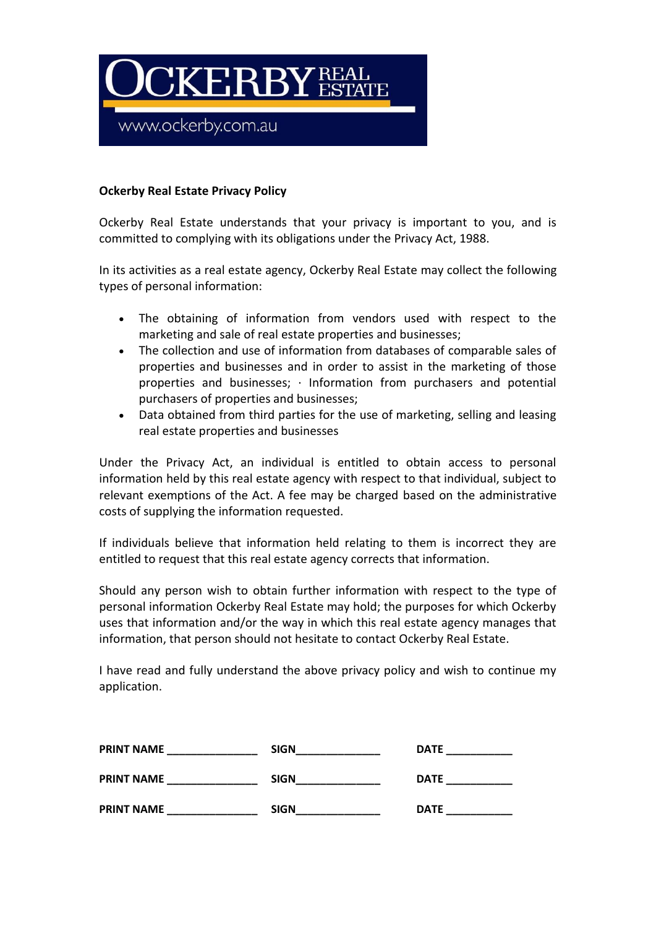

## **Ockerby Real Estate Privacy Policy**

Ockerby Real Estate understands that your privacy is important to you, and is committed to complying with its obligations under the Privacy Act, 1988.

In its activities as a real estate agency, Ockerby Real Estate may collect the following types of personal information:

- The obtaining of information from vendors used with respect to the marketing and sale of real estate properties and businesses;
- The collection and use of information from databases of comparable sales of properties and businesses and in order to assist in the marketing of those properties and businesses; · Information from purchasers and potential purchasers of properties and businesses;
- Data obtained from third parties for the use of marketing, selling and leasing real estate properties and businesses

Under the Privacy Act, an individual is entitled to obtain access to personal information held by this real estate agency with respect to that individual, subject to relevant exemptions of the Act. A fee may be charged based on the administrative costs of supplying the information requested.

If individuals believe that information held relating to them is incorrect they are entitled to request that this real estate agency corrects that information.

Should any person wish to obtain further information with respect to the type of personal information Ockerby Real Estate may hold; the purposes for which Ockerby uses that information and/or the way in which this real estate agency manages that information, that person should not hesitate to contact Ockerby Real Estate.

I have read and fully understand the above privacy policy and wish to continue my application.

| <b>PRINT NAME</b> | <b>SIGN</b> | <b>DATE</b> |
|-------------------|-------------|-------------|
| <b>PRINT NAME</b> | <b>SIGN</b> | <b>DATE</b> |
| <b>PRINT NAME</b> | <b>SIGN</b> | <b>DATE</b> |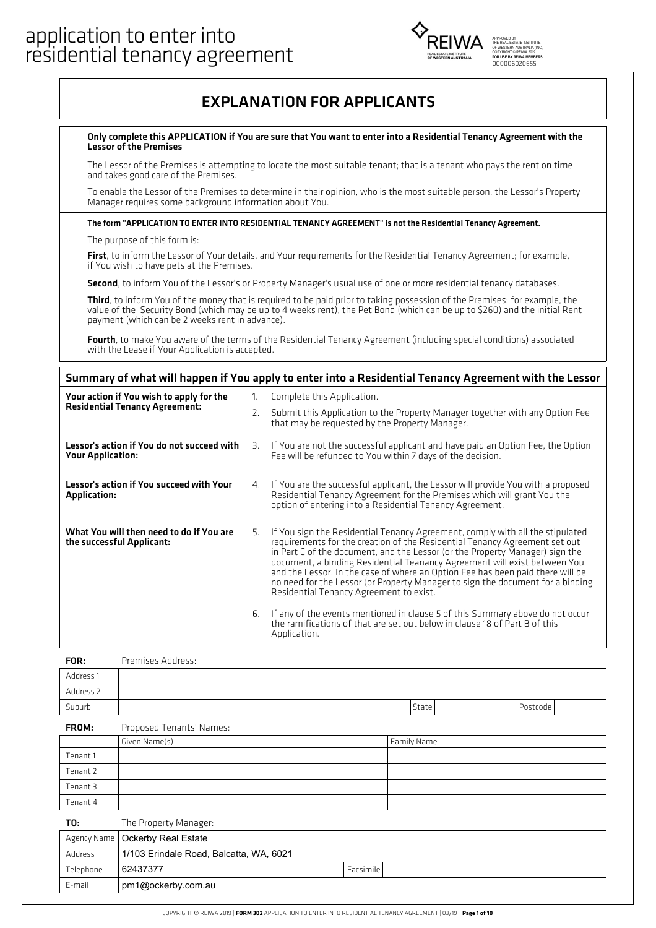

## EXPLANATION FOR APPLICANTS

#### Only complete this APPLICATION ifYou are sure that You want to enter into a Residential Tenancy Agreement with the Lessor of the Premises

The Lessor of the Premises is attempting to locate the most suitable tenant; that is a tenant who pays the rent on time and takes good care of the Premises.

To enable the Lessor of the Premises to determine in their opinion, who is the most suitable person, the Lessor's Property Manager requires some background information about You.

#### The form "APPLICATION TO ENTER INTO RESIDENTIAL TENANCY AGREEMENT" is not the Residential Tenancy Agreement.

The purpose of this form is:

First, to inform the Lessor of Your details, and Your requirements for the Residential Tenancy Agreement; for example, if You wish to have pets at the Premises.

Second, to inform You of the Lessor's or Property Manager's usual use of one or more residential tenancy databases.

Third, to inform You of the money that is required to be paid prior to taking possession of the Premises; for example, the value of the Security Bond (which may be up to 4 weeks rent), the Pet Bond (which can be up to \$260) and the initial Rent payment (which can be 2 weeks rent in advance).

Fourth, to make You aware of the terms of the Residential Tenancy Agreement (including special conditions) associated<br>with the Lease if Your Application is accepted.

### Summary of what will happen if You apply to enter into a Residential Tenancy Agreement with the Lessor

| Your action if You wish to apply for the                               | Complete this Application.<br>1.                                                                                                                                                                                                                                                                                                                                                                                                                                                                                                                              |  |
|------------------------------------------------------------------------|---------------------------------------------------------------------------------------------------------------------------------------------------------------------------------------------------------------------------------------------------------------------------------------------------------------------------------------------------------------------------------------------------------------------------------------------------------------------------------------------------------------------------------------------------------------|--|
| <b>Residential Tenancy Agreement:</b>                                  | Submit this Application to the Property Manager together with any Option Fee<br>2.<br>that may be requested by the Property Manager.                                                                                                                                                                                                                                                                                                                                                                                                                          |  |
| Lessor's action if You do not succeed with<br><b>Your Application:</b> | If You are not the successful applicant and have paid an Option Fee, the Option<br>З.<br>Fee will be refunded to You within 7 days of the decision.                                                                                                                                                                                                                                                                                                                                                                                                           |  |
| Lessor's action if You succeed with Your<br><b>Application:</b>        | If You are the successful applicant, the Lessor will provide You with a proposed<br>4.<br>Residential Tenancy Agreement for the Premises which will grant You the<br>option of entering into a Residential Tenancy Agreement.                                                                                                                                                                                                                                                                                                                                 |  |
| What You will then need to do if You are<br>the successful Applicant:  | If You sign the Residential Tenancy Agreement, comply with all the stipulated<br>5.<br>requirements for the creation of the Residential Tenancy Agreement set out                                                                                                                                                                                                                                                                                                                                                                                             |  |
|                                                                        | in Part C of the document, and the Lessor (or the Property Manager) sign the<br>document, a binding Residential Teanancy Agreement will exist between You<br>and the Lessor. In the case of where an Option Fee has been paid there will be<br>no need for the Lessor (or Property Manager to sign the document for a binding<br>Residential Tenancy Agreement to exist.<br>If any of the events mentioned in clause 5 of this Summary above do not occur<br>6.<br>the ramifications of that are set out below in clause 18 of Part B of this<br>Application. |  |

| FOR:      | Premises Address: |       |          |
|-----------|-------------------|-------|----------|
| Address 1 |                   |       |          |
| Address 2 |                   |       |          |
| Suburb    |                   | State | Postcode |

#### Proposed Tenants' Names: FROM:

|          | Given Name(s) | Family Name |
|----------|---------------|-------------|
| Tenant 1 |               |             |
| Tenant 2 |               |             |
| Tenant 3 |               |             |
| Tenant 4 |               |             |
|          |               |             |

| T0:       | The Property Manager:                   |           |
|-----------|-----------------------------------------|-----------|
|           | Agency Name   Ockerby Real Estate       |           |
| Address   | 1/103 Erindale Road, Balcatta, WA, 6021 |           |
| Telephone | 62437377                                | Facsimile |
| E-mail    | pm1@ockerby.com.au                      |           |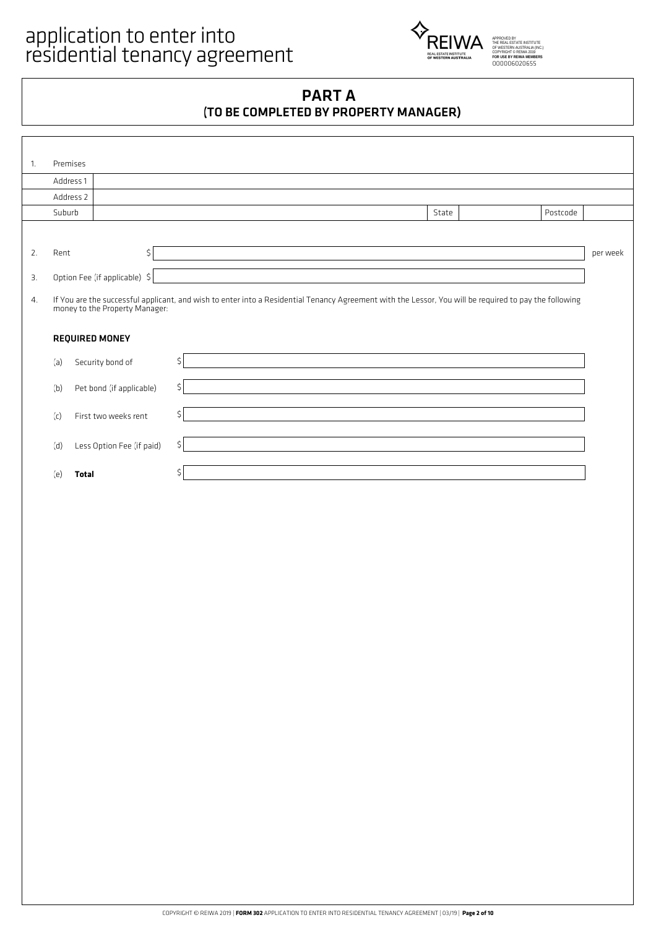

## PART A (TO BE COMPLETED BY PROPERTY MANAGER)

| 1. | Premises  |                                |                                                                                                                                                        |          |          |
|----|-----------|--------------------------------|--------------------------------------------------------------------------------------------------------------------------------------------------------|----------|----------|
|    |           |                                |                                                                                                                                                        |          |          |
|    | Address 1 |                                |                                                                                                                                                        |          |          |
|    | Address 2 |                                |                                                                                                                                                        |          |          |
|    | Suburb    |                                | State                                                                                                                                                  | Postcode |          |
|    |           |                                |                                                                                                                                                        |          |          |
| 2. | Rent      | \$                             |                                                                                                                                                        |          | per week |
| 3. |           | Option Fee (if applicable) \$  |                                                                                                                                                        |          |          |
| 4. |           | money to the Property Manager: | If You are the successful applicant, and wish to enter into a Residential Tenancy Agreement with the Lessor, You will be required to pay the following |          |          |
|    |           | <b>REQUIRED MONEY</b>          |                                                                                                                                                        |          |          |
|    | (a)       | Security bond of               | \$                                                                                                                                                     |          |          |
|    | (b)       | Pet bond (if applicable)       | \$                                                                                                                                                     |          |          |
|    | (c)       | First two weeks rent           | \$                                                                                                                                                     |          |          |
|    | (d)       | Less Option Fee (if paid)      | \$                                                                                                                                                     |          |          |
|    | (e)       | <b>Total</b>                   |                                                                                                                                                        |          |          |
|    |           |                                |                                                                                                                                                        |          |          |
|    |           |                                |                                                                                                                                                        |          |          |
|    |           |                                |                                                                                                                                                        |          |          |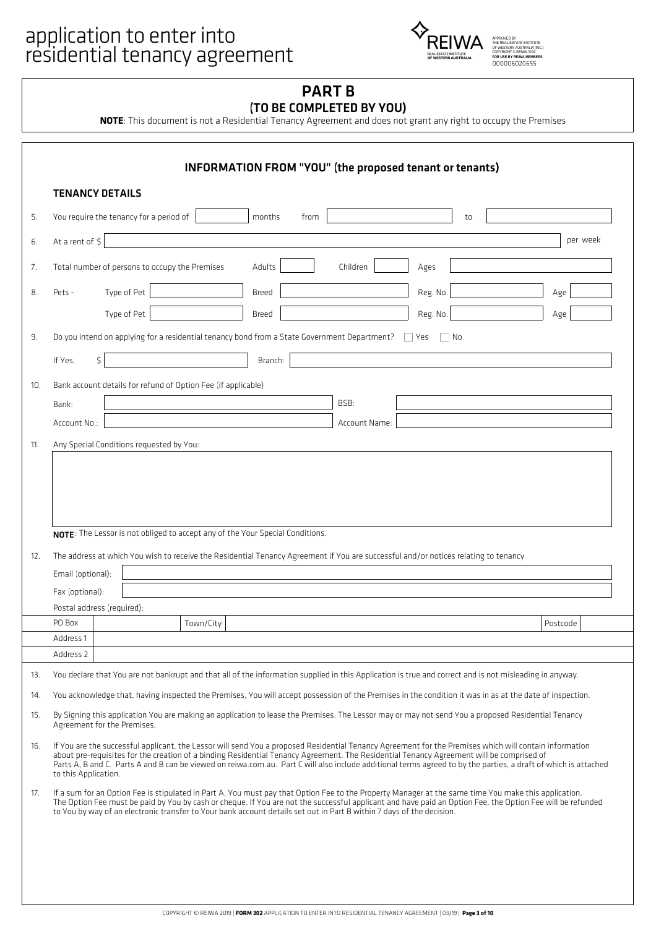# application to enter into<br>
FOREIWA



## PART B (TO BE COMPLETED BY YOU)

**NOTE**: This document is not a Residential Tenancy Agreement and does not grant any right to occupy the Premises

|                 | <b>TENANCY DETAILS</b>                                                                                                                                                                                                                                                                                                                                                                                                                                                                        |           |         |      |               |          |    |          |
|-----------------|-----------------------------------------------------------------------------------------------------------------------------------------------------------------------------------------------------------------------------------------------------------------------------------------------------------------------------------------------------------------------------------------------------------------------------------------------------------------------------------------------|-----------|---------|------|---------------|----------|----|----------|
|                 | You require the tenancy for a period of                                                                                                                                                                                                                                                                                                                                                                                                                                                       |           | months  | from |               |          | to |          |
| At a rent of \$ |                                                                                                                                                                                                                                                                                                                                                                                                                                                                                               |           |         |      |               |          |    | per week |
|                 | Total number of persons to occupy the Premises                                                                                                                                                                                                                                                                                                                                                                                                                                                |           | Adults  |      | Children      | Ages     |    |          |
| Pets -          | Type of Pet                                                                                                                                                                                                                                                                                                                                                                                                                                                                                   |           | Breed   |      |               | Reg. No. |    | Age      |
|                 | Type of Pet                                                                                                                                                                                                                                                                                                                                                                                                                                                                                   |           | Breed   |      |               | Reg. No. |    | Age      |
|                 | Do you intend on applying for a residential tenancy bond from a State Government Department?                                                                                                                                                                                                                                                                                                                                                                                                  |           |         |      |               | Yes      | No |          |
| If Yes.         | \$                                                                                                                                                                                                                                                                                                                                                                                                                                                                                            |           | Branch: |      |               |          |    |          |
|                 | Bank account details for refund of Option Fee (if applicable)                                                                                                                                                                                                                                                                                                                                                                                                                                 |           |         |      |               |          |    |          |
| Bank:           |                                                                                                                                                                                                                                                                                                                                                                                                                                                                                               |           |         |      | BSB:          |          |    |          |
| Account No.:    |                                                                                                                                                                                                                                                                                                                                                                                                                                                                                               |           |         |      | Account Name: |          |    |          |
|                 | Any Special Conditions requested by You:                                                                                                                                                                                                                                                                                                                                                                                                                                                      |           |         |      |               |          |    |          |
|                 | NOTE: The Lessor is not obliged to accept any of the Your Special Conditions.                                                                                                                                                                                                                                                                                                                                                                                                                 |           |         |      |               |          |    |          |
|                 | The address at which You wish to receive the Residential Tenancy Agreement if You are successful and/or notices relating to tenancy                                                                                                                                                                                                                                                                                                                                                           |           |         |      |               |          |    |          |
|                 | Email (optional):                                                                                                                                                                                                                                                                                                                                                                                                                                                                             |           |         |      |               |          |    |          |
| Fax (optional): | Postal address (required):                                                                                                                                                                                                                                                                                                                                                                                                                                                                    |           |         |      |               |          |    |          |
| PO Box          |                                                                                                                                                                                                                                                                                                                                                                                                                                                                                               | Town/City |         |      |               |          |    | Postcode |
| Address 1       |                                                                                                                                                                                                                                                                                                                                                                                                                                                                                               |           |         |      |               |          |    |          |
| Address 2       |                                                                                                                                                                                                                                                                                                                                                                                                                                                                                               |           |         |      |               |          |    |          |
|                 | You declare that You are not bankrupt and that all of the information supplied in this Application is true and correct and is not misleading in anyway.                                                                                                                                                                                                                                                                                                                                       |           |         |      |               |          |    |          |
|                 | You acknowledge that, having inspected the Premises, You will accept possession of the Premises in the condition it was in as at the date of inspection.<br>By Signing this application You are making an application to lease the Premises. The Lessor may or may not send You a proposed Residential Tenancy<br>Agreement for the Premises.                                                                                                                                                 |           |         |      |               |          |    |          |
|                 | If You are the successful applicant, the Lessor will send You a proposed Residential Tenancy Agreement for the Premises which will contain information<br>about pre-requisites for the creation of a binding Residential Tenancy Agreement. The Residential Tenancy Agreement will be comprised of<br>Parts A, B and C. Parts A and B can be viewed on reiwa.com.au. Part C will also include additional terms agreed to by the parties, a draft of which is attached<br>to this Application. |           |         |      |               |          |    |          |
|                 | If a sum for an Option Fee is stipulated in Part A, You must pay that Option Fee to the Property Manager at the same time You make this application.<br>The Option Fee must be paid by You by cash or cheque. If You are not the successful applicant and have paid an Option Fee, the Option Fee will be refunded<br>to You by way of an electronic transfer to Your bank account details set out in Part B within 7 days of the decision.                                                   |           |         |      |               |          |    |          |
|                 |                                                                                                                                                                                                                                                                                                                                                                                                                                                                                               |           |         |      |               |          |    |          |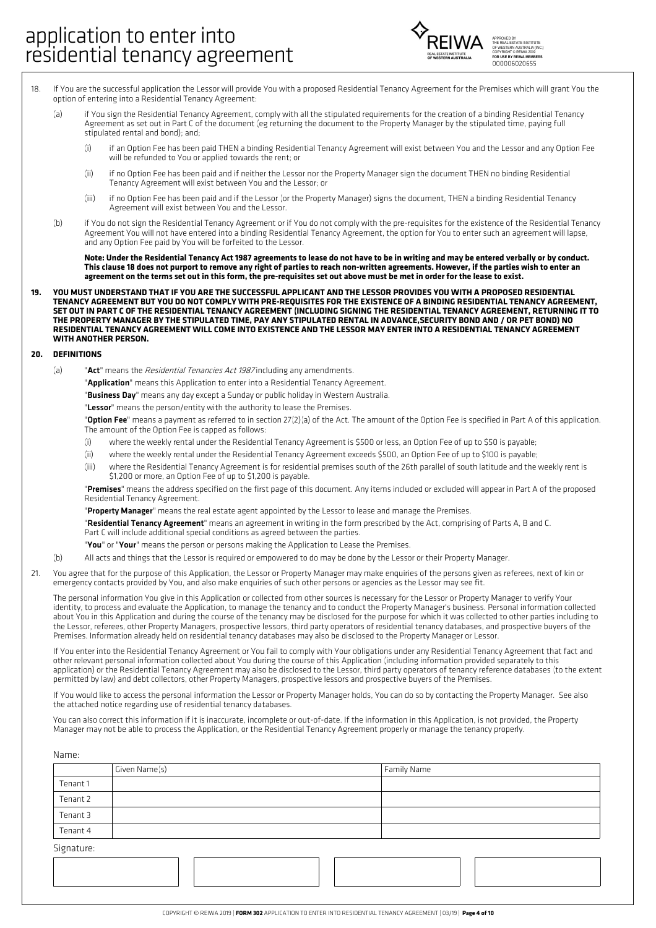

- If You are the successful application the Lessor will provide You with a proposed Residential Tenancy Agreement for the Premises which will grant You the option of entering into a Residential Tenancy Agreement: 18.
	- (a) if You sign the Residential Tenancy Agreement, comply with all the stipulated requirements for the creation of a binding Residential Tenancy Agreement as set out in Part C of the document (eg returning the document to the Property Manager by the stipulated time, paying full stipulated rental and bond); and;
		- (i) if an Option Fee has been paid THEN a binding Residential Tenancy Agreement will exist between You and the Lessor and any Option Fee will be refunded to You or applied towards the rent; or
		- if no Option Fee has been paid and if neither the Lessor nor the Property Manager sign the document THEN no binding Residential Tenancy Agreement will exist between You and the Lessor; or (ii)
		- if no Option Fee has been paid and if the Lessor (or the Property Manager) signs the document, THEN a binding Residential Tenancy Agreement will exist between You and the Lessor. (iii)
	- if You do not sign the Residential Tenancy Agreement or if You do not comply with the pre-requisites for the existence of the Residential Tenancy Agreement You will not have entered into a binding Residential Tenancy Agreement, the option for You to enter such an agreement will lapse, and any Option Fee paid by You will be forfeited to the Lessor.  $(h)$

Note: Under the Residential Tenancy Act 1987 agreements to lease do not have to be in writing and may be entered verbally or by conduct. This clause 18 does not purport to remove any right of parties to reach non-written agreements. However, if the parties wish to enter an agreement on the terms set out in this form, the pre-requisites set out above must be met in order for the lease to exist.

YOU MUST UNDERSTAND THAT IF YOU ARE THE SUCCESSFUL APPLICANT AND THE LESSOR PROVIDES YOU WITH A PROPOSED RESIDENTIAL TENANCY AGREEMENT BUT YOU DO NOT COMPLY WITH PRE-REQUISITES FOR THE EXISTENCE OF A BINDING RESIDENTIAL TENANCY AGREEMENT, SET OUT IN PART C OF THE RESIDENTIAL TENANCY AGREEMENT (INCLUDING SIGNING THE RESIDENTIAL TENANCY AGREEMENT, RETURNING IT TO THE PROPERTY MANAGER BY THE STIPULATED TIME, PAY ANY STIPULATED RENTAL IN ADVANCE, SECURITY BOND AND / OR PET BOND) NO RESIDENTIAL TENANCY AGREEMENT WILL COME INTO EXISTENCE AND THE LESSOR MAY ENTER INTO A RESIDENTIAL TENANCY AGREEMENT **WITH ANOTHER PERSON. 19.**

#### **20. DEFINITIONS**

- (a) "Act" means the Residential Tenancies Act 1987 including any amendments.
	- "**Application**" means this Application to enter into a Residential Tenancy Agreement.
	- "Business Day" means any day except a Sunday or public holiday in Western Australia.

"Lessor" means the person/entity with the authority to lease the Premises.

"Option Fee" means a payment as referred to in section 27(2)(a) of the Act. The amount of the Option Fee is specified in Part A of this application. The amount of the Option Fee is capped as follows:

- (i) where the weekly rental under the Residential Tenancy Agreement is \$500 or less, an Option Fee of up to \$50 is payable;
- (ii) where the weekly rental under the Residential Tenancy Agreement exceeds \$500, an Option Fee of up to \$100 is payable;
- where the Residential Tenancy Agreement is for residential premises south of the 26th parallel of south latitude and the weekly rent is \$1,200 or more, an Option Fee of up to \$1,200 is payable. (iii)

"Premises" means the address specified on the first page of this document. Any items included or excluded will appear in Part A of the proposed Residential Tenancy Agreement.

"Property Manager" means the real estate agent appointed by the Lessor to lease and manage the Premises.

"Residential Tenancy Agreement" means an agreement in writing in the form prescribed by the Act, comprising of Parts A, B and C. Part C will include additional special conditions as agreed between the parties.

- "You" or "Your" means the person or persons making the Application to Lease the Premises.
- (b) All acts and things that the Lessor is required or empowered to do may be done by the Lessor or their Property Manager.
- You agree that for the purpose of this Application, the Lessor or Property Manager may make enquiries of the persons given as referees, next of kin or emergency contacts provided by You, and also make enquiries of such other persons or agencies as the Lessor may see fit. 21.

The personal information You give in this Application or collected from other sources is necessary for the Lessor or Property Manager to verify Your identity, to process and evaluate the Application, to manage the tenancy and to conduct the Property Manager's business. Personal information collected about You in this Application and during the course of the tenancy may be disclosed for the purpose for which it was collected to other parties including to the Lessor, referees, other Property Managers, prospective lessors, third party operators of residential tenancy databases, and prospective buyers of the Premises. Information already held on residential tenancy databases may also be disclosed to the Property Manager or Lessor.

If You enter into the Residential Tenancy Agreement or You fail to comply with Your obligations under any Residential Tenancy Agreement that fact and other relevant personal information collected about You during the course of this Application (including information provided separately to this application) or the Residential Tenancy Agreement may also be disclosed to the Lessor, third party operators of tenancy reference databases (to the extent permitted by law) and debt collectors, other Property Managers, prospective lessors and prospective buyers of the Premises.

If You would like to access the personal information the Lessor or Property Manager holds, You can do so by contacting the Property Manager. See also the attached notice regarding use of residential tenancy databases.

You can also correct this information if it is inaccurate, incomplete or out-of-date. If the information in this Application, is not provided, the Property Manager may not be able to process the Application, or the Residential Tenancy Agreement properly or manage the tenancy properly.

| Name:      |               |             |
|------------|---------------|-------------|
|            | Given Name(s) | Family Name |
| Tenant 1   |               |             |
| Tenant 2   |               |             |
| Tenant 3   |               |             |
| Tenant 4   |               |             |
| Signature: |               |             |
|            |               |             |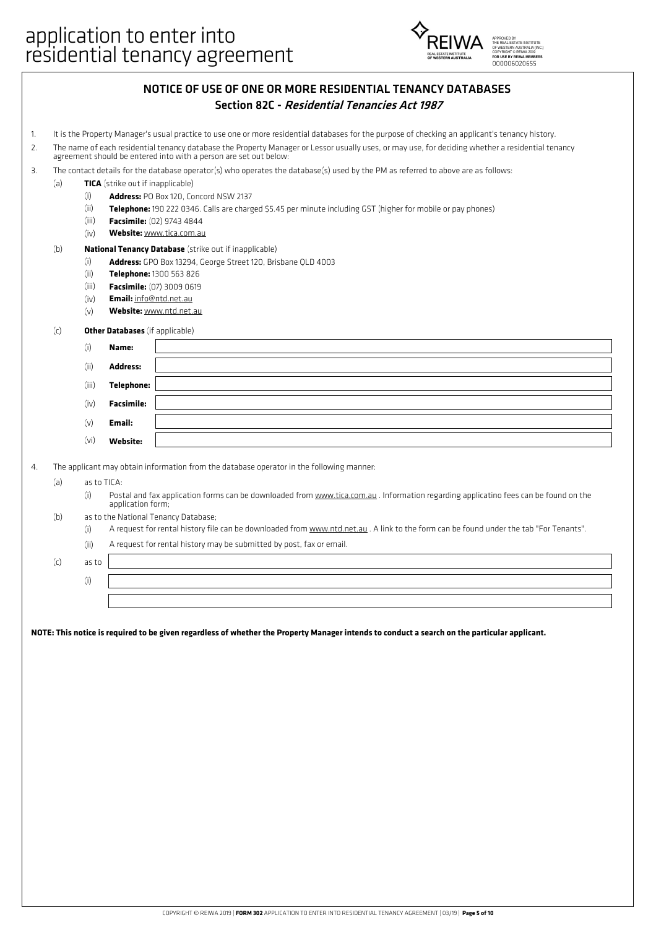

| NOTICE OF USE OF ONE OR MORE RESIDENTIAL TENANCY DATABASES |  |
|------------------------------------------------------------|--|
| Section 82C - Residential Tenancies Act 1987               |  |

- 1. It is the Property Manager's usual practice to use one or more residential databases for the purpose of checking an applicant's tenancy history.
- The name of each residential tenancy database the Property Manager or Lessor usually uses, or may use, for deciding whether a residential tenancy agreement should be entered into with a person are set out below: 2.
- 3. The contact details for the database operator(s) who operates the database(s) used by the PM as referred to above are as follows:
- (a) **TICA** (strike out if inapplicable)
	- (i) **Address:** PO Box 120, Concord NSW 2137
	- (ii) **Telephone:** 190 222 0346. Calls are charged \$5.45 per minute including GST (higher for mobile or pay phones)
	- (iii) **Facsimile:** (02) 9743 4844
	- (iv) **Website:** www.tica.com.au

#### (b) **National Tenancy Database** (strike out if inapplicable)

- (i) **Address:** GPO Box 13294, George Street 120, Brisbane QLD 4003
	- (ii) **Telephone:** 1300 563 826
	- (iii) **Facsimile:** (07) 3009 0619
	- (iv) **Email:** info@ntd.net.au
	- (v) **Website:** www.ntd.net.au

#### (c) **Other Databases** (if applicable)

| (i)   | Name:             |  |
|-------|-------------------|--|
| (ii)  | <b>Address:</b>   |  |
| (iii) | Telephone:        |  |
| (iv)  | <b>Facsimile:</b> |  |
| (v)   | Email:            |  |
| (vi)  | Website:          |  |

4. The applicant may obtain information from the database operator in the following manner:

- (a) as to TICA:
	- (i) Postal and fax application forms can be downloaded from www.tica.com.au . Information regarding applicatino fees can be found on the application form;
- (b) as to the National Tenancy Database;
	- (i) A request for rental history file can be downloaded from www.ntd.net.au . A link to the form can be found under the tab "For Tenants".
	- (ii) A request for rental history may be submitted by post, fax or email.

(c) as to

(i)

NOTE: This notice is required to be given regardless of whether the Property Manager intends to conduct a search on the particular applicant.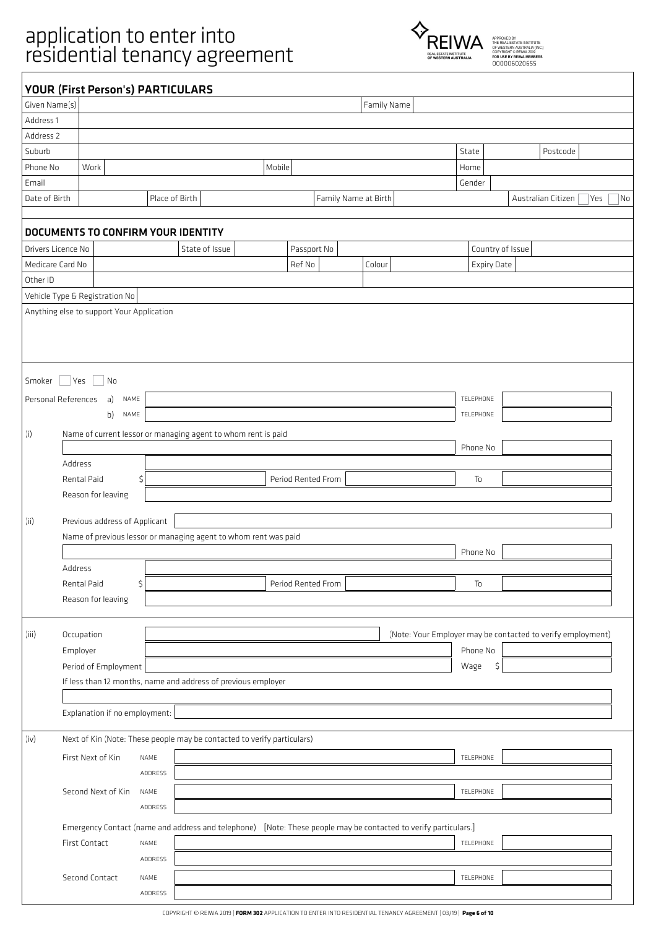# application to enter into<br>
FOREIWA

 $\sqrt{2}$ 



|                    | <b>YOUR (First Person's) PARTICULARS</b>  |                |                                                                         |                                                                                                                 |                      |                    |                                                             |
|--------------------|-------------------------------------------|----------------|-------------------------------------------------------------------------|-----------------------------------------------------------------------------------------------------------------|----------------------|--------------------|-------------------------------------------------------------|
| Given Name(s)      |                                           |                |                                                                         |                                                                                                                 | Family Name          |                    |                                                             |
| Address 1          |                                           |                |                                                                         |                                                                                                                 |                      |                    |                                                             |
| Address 2          |                                           |                |                                                                         |                                                                                                                 |                      |                    |                                                             |
| Suburb             |                                           |                |                                                                         |                                                                                                                 |                      | State              | Postcode                                                    |
| Phone No           | Work                                      |                |                                                                         | Mobile                                                                                                          |                      | Home               |                                                             |
| Email              |                                           |                |                                                                         |                                                                                                                 |                      | Gender             |                                                             |
| Date of Birth      |                                           | Place of Birth |                                                                         |                                                                                                                 | Family Name at Birth |                    | Australian Citizen<br>Yes<br>$\overline{\mathsf{No}}$       |
|                    |                                           |                |                                                                         |                                                                                                                 |                      |                    |                                                             |
|                    | DOCUMENTS TO CONFIRM YOUR IDENTITY        |                |                                                                         |                                                                                                                 |                      |                    |                                                             |
| Drivers Licence No |                                           |                | State of Issue                                                          | Passport No                                                                                                     |                      | Country of Issue   |                                                             |
| Medicare Card No   |                                           |                |                                                                         | Ref No                                                                                                          | Colour               | <b>Expiry Date</b> |                                                             |
| Other ID           |                                           |                |                                                                         |                                                                                                                 |                      |                    |                                                             |
|                    | Vehicle Type & Registration No            |                |                                                                         |                                                                                                                 |                      |                    |                                                             |
|                    | Anything else to support Your Application |                |                                                                         |                                                                                                                 |                      |                    |                                                             |
|                    |                                           |                |                                                                         |                                                                                                                 |                      |                    |                                                             |
|                    |                                           |                |                                                                         |                                                                                                                 |                      |                    |                                                             |
|                    |                                           |                |                                                                         |                                                                                                                 |                      |                    |                                                             |
|                    |                                           |                |                                                                         |                                                                                                                 |                      |                    |                                                             |
| Smoker             | Yes<br>$\overline{\phantom{a}}$ No        |                |                                                                         |                                                                                                                 |                      |                    |                                                             |
|                    | Personal References<br>a)<br>NAME         |                |                                                                         |                                                                                                                 |                      | TELEPHONE          |                                                             |
|                    | b)<br>NAME                                |                |                                                                         |                                                                                                                 |                      | TELEPHONE          |                                                             |
| (i)                |                                           |                | Name of current lessor or managing agent to whom rent is paid           |                                                                                                                 |                      |                    |                                                             |
|                    |                                           |                |                                                                         |                                                                                                                 |                      | Phone No           |                                                             |
|                    | Address                                   |                |                                                                         |                                                                                                                 |                      |                    |                                                             |
|                    | Rental Paid                               | \$             |                                                                         | Period Rented From                                                                                              |                      | To                 |                                                             |
|                    | Reason for leaving                        |                |                                                                         |                                                                                                                 |                      |                    |                                                             |
|                    |                                           |                |                                                                         |                                                                                                                 |                      |                    |                                                             |
| (ii)               | Previous address of Applicant             |                |                                                                         |                                                                                                                 |                      |                    |                                                             |
|                    |                                           |                | Name of previous lessor or managing agent to whom rent was paid         |                                                                                                                 |                      |                    |                                                             |
|                    |                                           |                |                                                                         |                                                                                                                 |                      | Phone No           |                                                             |
|                    | Address                                   |                |                                                                         |                                                                                                                 |                      |                    |                                                             |
|                    | Rental Paid                               | \$             |                                                                         | Period Rented From                                                                                              |                      | To                 |                                                             |
|                    | Reason for leaving                        |                |                                                                         |                                                                                                                 |                      |                    |                                                             |
|                    |                                           |                |                                                                         |                                                                                                                 |                      |                    |                                                             |
| (iii)              | Occupation                                |                |                                                                         |                                                                                                                 |                      |                    | (Note: Your Employer may be contacted to verify employment) |
|                    | Employer                                  |                |                                                                         |                                                                                                                 |                      | Phone No           |                                                             |
|                    | Period of Employment                      |                |                                                                         |                                                                                                                 |                      | \$<br>Wage         |                                                             |
|                    |                                           |                | If less than 12 months, name and address of previous employer           |                                                                                                                 |                      |                    |                                                             |
|                    |                                           |                |                                                                         |                                                                                                                 |                      |                    |                                                             |
|                    | Explanation if no employment:             |                |                                                                         |                                                                                                                 |                      |                    |                                                             |
|                    |                                           |                |                                                                         |                                                                                                                 |                      |                    |                                                             |
| (iv)               |                                           |                | Next of Kin (Note: These people may be contacted to verify particulars) |                                                                                                                 |                      |                    |                                                             |
|                    | First Next of Kin                         | NAME           |                                                                         |                                                                                                                 |                      | TELEPHONE          |                                                             |
|                    |                                           | ADDRESS        |                                                                         |                                                                                                                 |                      |                    |                                                             |
|                    | Second Next of Kin                        | NAME           |                                                                         |                                                                                                                 |                      | TELEPHONE          |                                                             |
|                    |                                           | ADDRESS        |                                                                         |                                                                                                                 |                      |                    |                                                             |
|                    |                                           |                |                                                                         | Emergency Contact (name and address and telephone) [Note: These people may be contacted to verify particulars.] |                      |                    |                                                             |
|                    | <b>First Contact</b>                      | NAME           |                                                                         |                                                                                                                 |                      | TELEPHONE          |                                                             |
|                    |                                           | ADDRESS        |                                                                         |                                                                                                                 |                      |                    |                                                             |
|                    |                                           |                |                                                                         |                                                                                                                 |                      |                    |                                                             |
|                    | Second Contact                            | NAME           |                                                                         |                                                                                                                 |                      | TELEPHONE          |                                                             |
|                    |                                           | ADDRESS        |                                                                         |                                                                                                                 |                      |                    |                                                             |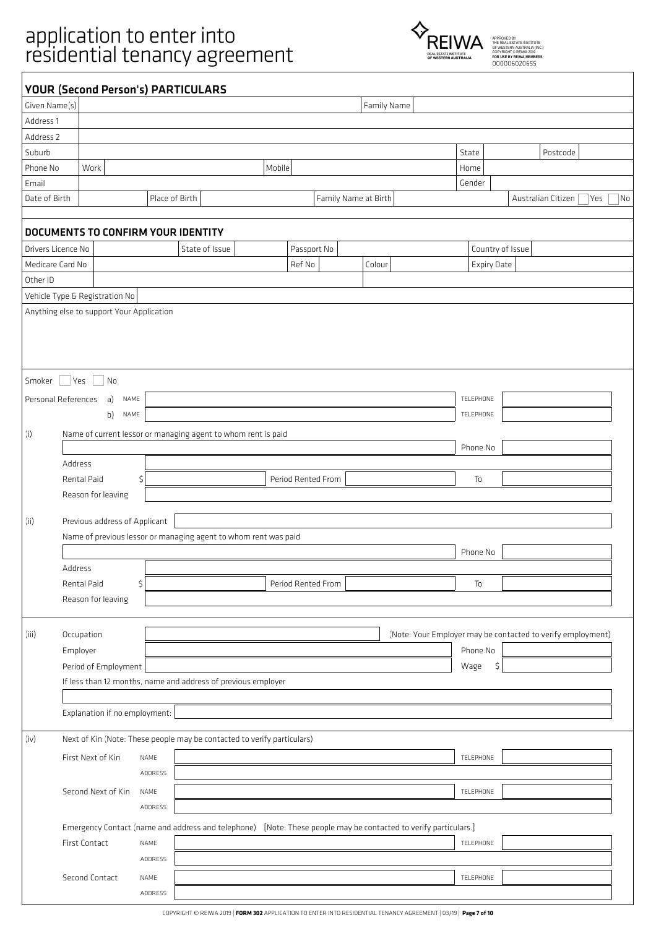# application to enter into<br>
FOREIWA

 $\sqrt{ }$ 



|                    |                                           | <b>YOUR (Second Person's) PARTICULARS</b>                                                                       |                      |             |                    |                                                             |
|--------------------|-------------------------------------------|-----------------------------------------------------------------------------------------------------------------|----------------------|-------------|--------------------|-------------------------------------------------------------|
| Given Name(s)      |                                           |                                                                                                                 |                      | Family Name |                    |                                                             |
| Address 1          |                                           |                                                                                                                 |                      |             |                    |                                                             |
| Address 2          |                                           |                                                                                                                 |                      |             |                    |                                                             |
| Suburb             |                                           |                                                                                                                 |                      |             | State              | Postcode                                                    |
| Phone No           | Work                                      | Mobile                                                                                                          |                      |             | Home               |                                                             |
| Email              |                                           |                                                                                                                 |                      |             | Gender             |                                                             |
| Date of Birth      |                                           | Place of Birth                                                                                                  | Family Name at Birth |             |                    | Australian Citizen<br>Yes<br>No                             |
|                    |                                           | DOCUMENTS TO CONFIRM YOUR IDENTITY                                                                              |                      |             |                    |                                                             |
| Drivers Licence No |                                           | State of Issue                                                                                                  | Passport No          |             | Country of Issue   |                                                             |
| Medicare Card No   |                                           |                                                                                                                 | Ref No               | Colour      | <b>Expiry Date</b> |                                                             |
| Other ID           |                                           |                                                                                                                 |                      |             |                    |                                                             |
|                    | Vehicle Type & Registration No            |                                                                                                                 |                      |             |                    |                                                             |
|                    | Anything else to support Your Application |                                                                                                                 |                      |             |                    |                                                             |
|                    |                                           |                                                                                                                 |                      |             |                    |                                                             |
|                    |                                           |                                                                                                                 |                      |             |                    |                                                             |
|                    |                                           |                                                                                                                 |                      |             |                    |                                                             |
|                    |                                           |                                                                                                                 |                      |             |                    |                                                             |
| Smoker             | <b>Yes</b><br>$\overline{\phantom{a}}$ No |                                                                                                                 |                      |             |                    |                                                             |
|                    | Personal References<br>a)<br>NAME         |                                                                                                                 |                      |             | TELEPHONE          |                                                             |
|                    | b)<br>NAME                                |                                                                                                                 |                      |             | TELEPHONE          |                                                             |
| (i)                |                                           | Name of current lessor or managing agent to whom rent is paid                                                   |                      |             |                    |                                                             |
|                    |                                           |                                                                                                                 |                      |             | Phone No           |                                                             |
|                    | Address                                   |                                                                                                                 |                      |             |                    |                                                             |
|                    | Rental Paid                               | \$                                                                                                              | Period Rented From   |             | To                 |                                                             |
|                    | Reason for leaving                        |                                                                                                                 |                      |             |                    |                                                             |
|                    |                                           |                                                                                                                 |                      |             |                    |                                                             |
| (ii)               | Previous address of Applicant             |                                                                                                                 |                      |             |                    |                                                             |
|                    |                                           | Name of previous lessor or managing agent to whom rent was paid                                                 |                      |             |                    |                                                             |
|                    |                                           |                                                                                                                 |                      |             | Phone No           |                                                             |
|                    | Address                                   |                                                                                                                 |                      |             |                    |                                                             |
|                    | Rental Paid                               | \$                                                                                                              | Period Rented From   |             | To                 |                                                             |
|                    | Reason for leaving                        |                                                                                                                 |                      |             |                    |                                                             |
|                    |                                           |                                                                                                                 |                      |             |                    |                                                             |
| (iii)              | Occupation                                |                                                                                                                 |                      |             |                    | (Note: Your Employer may be contacted to verify employment) |
|                    | Employer                                  |                                                                                                                 |                      |             | Phone No           |                                                             |
|                    | Period of Employment                      |                                                                                                                 |                      |             | \$<br>Wage         |                                                             |
|                    |                                           | If less than 12 months, name and address of previous employer                                                   |                      |             |                    |                                                             |
|                    |                                           |                                                                                                                 |                      |             |                    |                                                             |
|                    | Explanation if no employment:             |                                                                                                                 |                      |             |                    |                                                             |
| (iv)               |                                           | Next of Kin (Note: These people may be contacted to verify particulars)                                         |                      |             |                    |                                                             |
|                    |                                           |                                                                                                                 |                      |             |                    |                                                             |
|                    | First Next of Kin                         | NAME                                                                                                            |                      |             | TELEPHONE          |                                                             |
|                    |                                           | ADDRESS                                                                                                         |                      |             |                    |                                                             |
|                    | Second Next of Kin                        | NAME                                                                                                            |                      |             | TELEPHONE          |                                                             |
|                    |                                           | ADDRESS                                                                                                         |                      |             |                    |                                                             |
|                    |                                           | Emergency Contact (name and address and telephone) [Note: These people may be contacted to verify particulars.] |                      |             |                    |                                                             |
|                    | First Contact                             | NAME                                                                                                            |                      |             | TELEPHONE          |                                                             |
|                    |                                           | ADDRESS                                                                                                         |                      |             |                    |                                                             |
|                    | Second Contact                            | NAME                                                                                                            |                      |             | TELEPHONE          |                                                             |
|                    |                                           | ADDRESS                                                                                                         |                      |             |                    |                                                             |
|                    |                                           |                                                                                                                 |                      |             |                    |                                                             |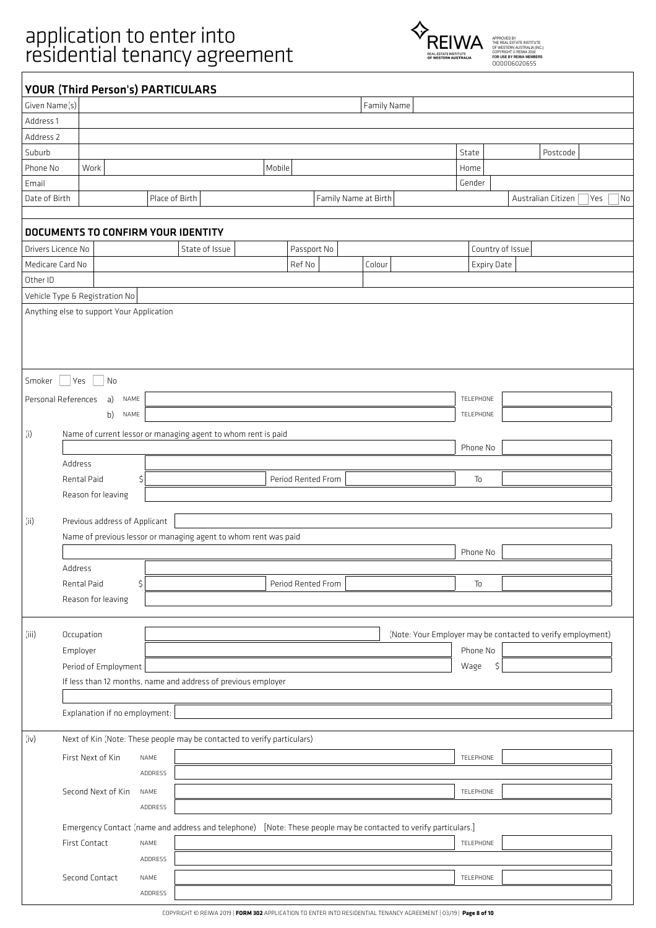$\sqrt{ }$ 



|                                                                 |                                                                                                                 | <b>YOUR (Third Person's) PARTICULARS</b>                                |                      |             |                    |                                                             |
|-----------------------------------------------------------------|-----------------------------------------------------------------------------------------------------------------|-------------------------------------------------------------------------|----------------------|-------------|--------------------|-------------------------------------------------------------|
| Given Name(s)                                                   |                                                                                                                 |                                                                         |                      | Family Name |                    |                                                             |
| Address 1                                                       |                                                                                                                 |                                                                         |                      |             |                    |                                                             |
| Address 2                                                       |                                                                                                                 |                                                                         |                      |             |                    |                                                             |
| Suburb                                                          |                                                                                                                 |                                                                         |                      |             | State              | Postcode                                                    |
| Phone No                                                        | Work                                                                                                            | Mobile                                                                  |                      |             | Home               |                                                             |
| Email                                                           |                                                                                                                 |                                                                         |                      |             | Gender             |                                                             |
| Date of Birth                                                   |                                                                                                                 | Place of Birth                                                          | Family Name at Birth |             |                    | Australian Citizen<br>Yes<br>No                             |
|                                                                 |                                                                                                                 | DOCUMENTS TO CONFIRM YOUR IDENTITY                                      |                      |             |                    |                                                             |
| Drivers Licence No                                              |                                                                                                                 | State of Issue                                                          | Passport No          |             | Country of Issue   |                                                             |
| Medicare Card No                                                |                                                                                                                 |                                                                         | Ref No               | Colour      | <b>Expiry Date</b> |                                                             |
| Other ID                                                        |                                                                                                                 |                                                                         |                      |             |                    |                                                             |
|                                                                 | Vehicle Type & Registration No                                                                                  |                                                                         |                      |             |                    |                                                             |
|                                                                 | Anything else to support Your Application                                                                       |                                                                         |                      |             |                    |                                                             |
|                                                                 |                                                                                                                 |                                                                         |                      |             |                    |                                                             |
|                                                                 |                                                                                                                 |                                                                         |                      |             |                    |                                                             |
|                                                                 |                                                                                                                 |                                                                         |                      |             |                    |                                                             |
|                                                                 |                                                                                                                 |                                                                         |                      |             |                    |                                                             |
| Smoker                                                          | Yes<br>$\overline{\phantom{a}}$ No                                                                              |                                                                         |                      |             |                    |                                                             |
|                                                                 | Personal References<br>a)<br>NAME                                                                               |                                                                         |                      |             | TELEPHONE          |                                                             |
|                                                                 | b)<br>NAME                                                                                                      |                                                                         |                      |             | TELEPHONE          |                                                             |
|                                                                 |                                                                                                                 |                                                                         |                      |             |                    |                                                             |
| (i)                                                             |                                                                                                                 | Name of current lessor or managing agent to whom rent is paid           |                      |             | Phone No           |                                                             |
|                                                                 |                                                                                                                 |                                                                         |                      |             |                    |                                                             |
|                                                                 | Address                                                                                                         |                                                                         |                      |             |                    |                                                             |
|                                                                 | Rental Paid                                                                                                     | \$                                                                      | Period Rented From   |             | To                 |                                                             |
|                                                                 | Reason for leaving                                                                                              |                                                                         |                      |             |                    |                                                             |
|                                                                 |                                                                                                                 |                                                                         |                      |             |                    |                                                             |
| (ii)                                                            | Previous address of Applicant                                                                                   |                                                                         |                      |             |                    |                                                             |
| Name of previous lessor or managing agent to whom rent was paid |                                                                                                                 |                                                                         |                      |             |                    |                                                             |
|                                                                 |                                                                                                                 |                                                                         |                      |             | Phone No           |                                                             |
|                                                                 | Address                                                                                                         |                                                                         |                      |             |                    |                                                             |
|                                                                 | Rental Paid                                                                                                     | \$                                                                      | Period Rented From   |             | To                 |                                                             |
|                                                                 | Reason for leaving                                                                                              |                                                                         |                      |             |                    |                                                             |
|                                                                 |                                                                                                                 |                                                                         |                      |             |                    |                                                             |
| (iii)                                                           | Occupation                                                                                                      |                                                                         |                      |             |                    | (Note: Your Employer may be contacted to verify employment) |
|                                                                 | Employer                                                                                                        |                                                                         |                      |             | Phone No           |                                                             |
|                                                                 | Period of Employment                                                                                            |                                                                         |                      |             | \$<br>Wage         |                                                             |
|                                                                 |                                                                                                                 | If less than 12 months, name and address of previous employer           |                      |             |                    |                                                             |
|                                                                 |                                                                                                                 |                                                                         |                      |             |                    |                                                             |
|                                                                 | Explanation if no employment:                                                                                   |                                                                         |                      |             |                    |                                                             |
|                                                                 |                                                                                                                 |                                                                         |                      |             |                    |                                                             |
| (iv)                                                            |                                                                                                                 | Next of Kin (Note: These people may be contacted to verify particulars) |                      |             |                    |                                                             |
|                                                                 | First Next of Kin                                                                                               | NAME                                                                    |                      |             | TELEPHONE          |                                                             |
|                                                                 |                                                                                                                 | ADDRESS                                                                 |                      |             |                    |                                                             |
|                                                                 |                                                                                                                 |                                                                         |                      |             |                    |                                                             |
|                                                                 | Second Next of Kin                                                                                              | NAME                                                                    |                      |             | TELEPHONE          |                                                             |
|                                                                 |                                                                                                                 | ADDRESS                                                                 |                      |             |                    |                                                             |
|                                                                 | Emergency Contact (name and address and telephone) [Note: These people may be contacted to verify particulars.] |                                                                         |                      |             |                    |                                                             |
|                                                                 | First Contact                                                                                                   | NAME                                                                    |                      |             | TELEPHONE          |                                                             |
|                                                                 |                                                                                                                 | ADDRESS                                                                 |                      |             |                    |                                                             |
|                                                                 |                                                                                                                 |                                                                         |                      |             |                    |                                                             |
|                                                                 | Second Contact                                                                                                  | NAME                                                                    |                      |             | TELEPHONE          |                                                             |
|                                                                 |                                                                                                                 | ADDRESS                                                                 |                      |             |                    |                                                             |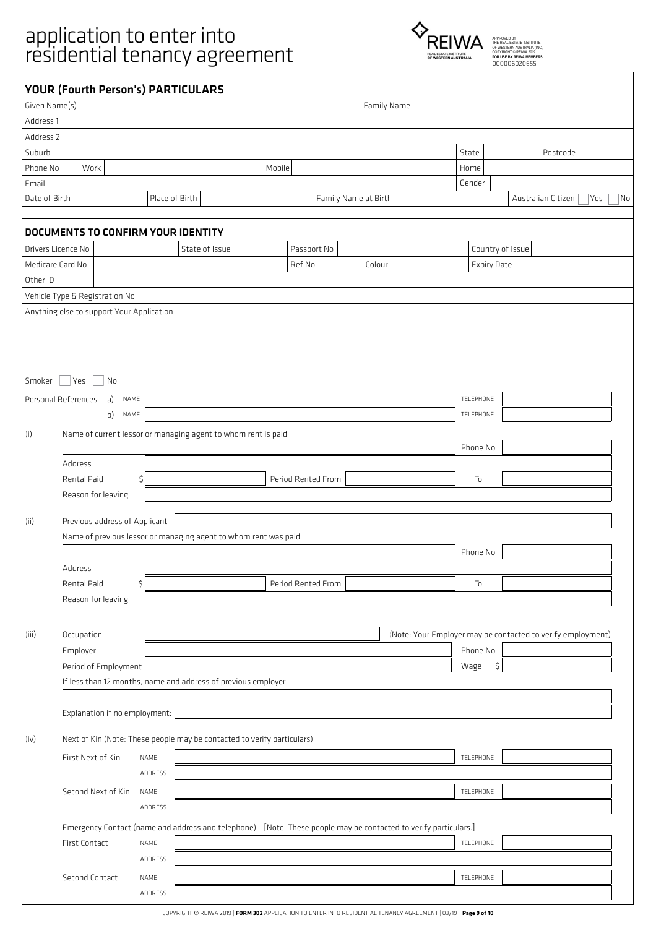$\sqrt{ }$ 



|                    |                                           | <b>YOUR (Fourth Person's) PARTICULARS</b>                                                                       |        |                    |                      |                    |                                                             |
|--------------------|-------------------------------------------|-----------------------------------------------------------------------------------------------------------------|--------|--------------------|----------------------|--------------------|-------------------------------------------------------------|
| Given Name(s)      |                                           |                                                                                                                 |        |                    | Family Name          |                    |                                                             |
| Address 1          |                                           |                                                                                                                 |        |                    |                      |                    |                                                             |
| Address 2          |                                           |                                                                                                                 |        |                    |                      |                    |                                                             |
| Suburb             |                                           |                                                                                                                 |        |                    |                      | State              | Postcode                                                    |
| Phone No           | Work                                      |                                                                                                                 | Mobile |                    |                      | Home               |                                                             |
| Email              |                                           |                                                                                                                 |        |                    |                      | Gender             |                                                             |
| Date of Birth      |                                           | Place of Birth                                                                                                  |        |                    | Family Name at Birth |                    | Australian Citizen<br>Yes<br>No                             |
|                    |                                           |                                                                                                                 |        |                    |                      |                    |                                                             |
|                    |                                           | DOCUMENTS TO CONFIRM YOUR IDENTITY                                                                              |        |                    |                      |                    |                                                             |
| Drivers Licence No |                                           | State of Issue                                                                                                  |        | Passport No        |                      | Country of Issue   |                                                             |
| Medicare Card No   |                                           |                                                                                                                 |        | Ref No             | Colour               | <b>Expiry Date</b> |                                                             |
| Other ID           |                                           |                                                                                                                 |        |                    |                      |                    |                                                             |
|                    | Vehicle Type & Registration No            |                                                                                                                 |        |                    |                      |                    |                                                             |
|                    | Anything else to support Your Application |                                                                                                                 |        |                    |                      |                    |                                                             |
|                    |                                           |                                                                                                                 |        |                    |                      |                    |                                                             |
|                    |                                           |                                                                                                                 |        |                    |                      |                    |                                                             |
|                    |                                           |                                                                                                                 |        |                    |                      |                    |                                                             |
| Smoker             | Yes<br>$\overline{\phantom{a}}$ No        |                                                                                                                 |        |                    |                      |                    |                                                             |
|                    | Personal References<br>a)<br>NAME         |                                                                                                                 |        |                    |                      | TELEPHONE          |                                                             |
|                    |                                           |                                                                                                                 |        |                    |                      |                    |                                                             |
|                    | b)<br>NAME                                |                                                                                                                 |        |                    |                      | TELEPHONE          |                                                             |
| (i)                |                                           | Name of current lessor or managing agent to whom rent is paid                                                   |        |                    |                      |                    |                                                             |
|                    |                                           |                                                                                                                 |        |                    |                      | Phone No           |                                                             |
|                    | Address                                   |                                                                                                                 |        |                    |                      |                    |                                                             |
|                    | Rental Paid                               | \$                                                                                                              |        | Period Rented From |                      | To                 |                                                             |
|                    | Reason for leaving                        |                                                                                                                 |        |                    |                      |                    |                                                             |
| (ii)               | Previous address of Applicant             |                                                                                                                 |        |                    |                      |                    |                                                             |
|                    |                                           | Name of previous lessor or managing agent to whom rent was paid                                                 |        |                    |                      |                    |                                                             |
|                    |                                           |                                                                                                                 |        |                    |                      | Phone No           |                                                             |
|                    | Address                                   |                                                                                                                 |        |                    |                      |                    |                                                             |
|                    | Rental Paid                               | \$                                                                                                              |        | Period Rented From |                      | To                 |                                                             |
|                    | Reason for leaving                        |                                                                                                                 |        |                    |                      |                    |                                                             |
|                    |                                           |                                                                                                                 |        |                    |                      |                    |                                                             |
| (iii)              | Occupation                                |                                                                                                                 |        |                    |                      |                    | (Note: Your Employer may be contacted to verify employment) |
|                    |                                           |                                                                                                                 |        |                    |                      | Phone No           |                                                             |
|                    | Employer<br>Period of Employment          |                                                                                                                 |        |                    |                      |                    |                                                             |
|                    |                                           | If less than 12 months, name and address of previous employer                                                   |        |                    |                      | \$<br>Wage         |                                                             |
|                    |                                           |                                                                                                                 |        |                    |                      |                    |                                                             |
|                    | Explanation if no employment:             |                                                                                                                 |        |                    |                      |                    |                                                             |
|                    |                                           |                                                                                                                 |        |                    |                      |                    |                                                             |
| (iv)               |                                           | Next of Kin (Note: These people may be contacted to verify particulars)                                         |        |                    |                      |                    |                                                             |
|                    | First Next of Kin                         | NAME                                                                                                            |        |                    |                      | TELEPHONE          |                                                             |
|                    |                                           | ADDRESS                                                                                                         |        |                    |                      |                    |                                                             |
|                    |                                           |                                                                                                                 |        |                    |                      |                    |                                                             |
|                    | Second Next of Kin                        | NAME                                                                                                            |        |                    |                      | TELEPHONE          |                                                             |
|                    |                                           | ADDRESS                                                                                                         |        |                    |                      |                    |                                                             |
|                    |                                           | Emergency Contact (name and address and telephone) [Note: These people may be contacted to verify particulars.] |        |                    |                      |                    |                                                             |
|                    | First Contact                             | NAME                                                                                                            |        |                    |                      | TELEPHONE          |                                                             |
|                    |                                           | ADDRESS                                                                                                         |        |                    |                      |                    |                                                             |
|                    | Second Contact                            | NAME                                                                                                            |        |                    |                      | TELEPHONE          |                                                             |
|                    |                                           | ADDRESS                                                                                                         |        |                    |                      |                    |                                                             |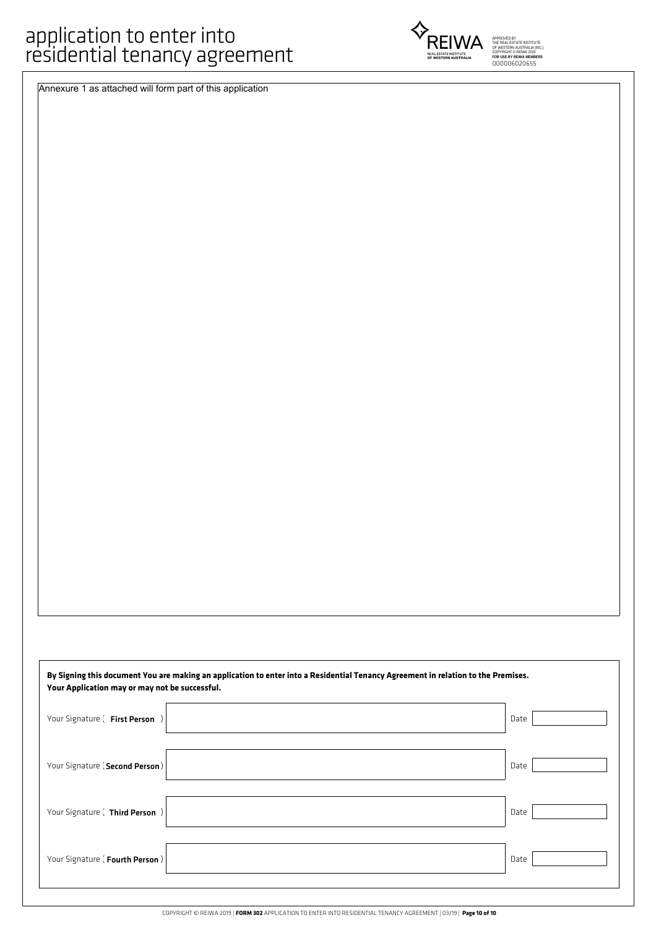Annexure 1 as attached will form part of this application

| Your Application may or may not be successful. | By Signing this document You are making an application to enter into a Residential Tenancy Agreement in relation to the Premises. |
|------------------------------------------------|-----------------------------------------------------------------------------------------------------------------------------------|
| Your Signature ( First Person )                | Date                                                                                                                              |
| Your Signature (Second Person)                 | Date                                                                                                                              |
| Your Signature ( Third Person )                | Date                                                                                                                              |
| Your Signature (Fourth Person)                 | Date                                                                                                                              |



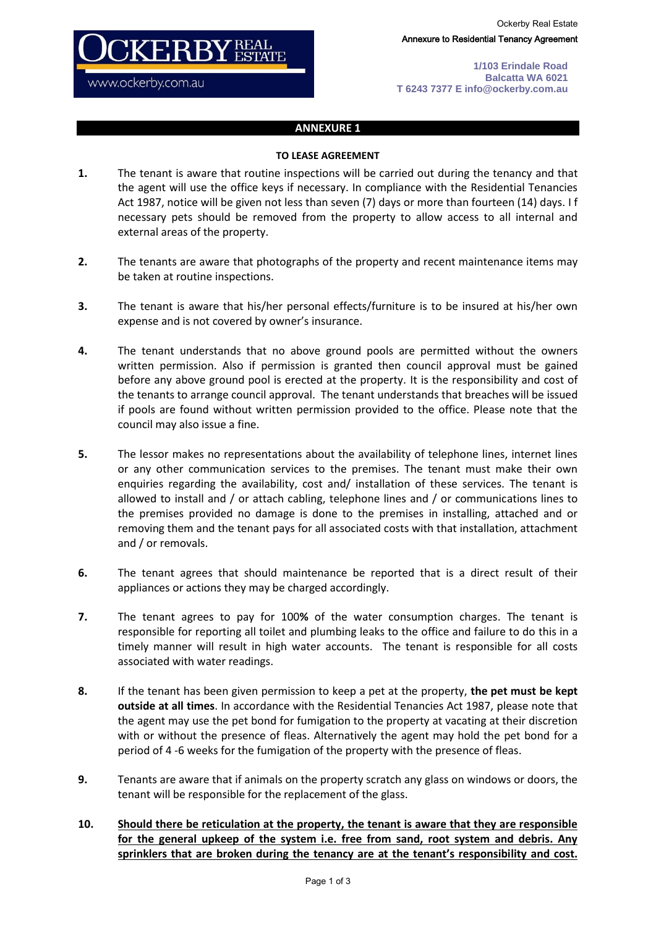Ockerby Real Estate Annexure to Residential Tenancy Agreement

**1/103 Erindale Road Balcatta WA 6021 T 6243 7377 E info@ockerby.com.au**

### **ANNEXURE 1**

 $\rm FRBY^{REA}_{EST}$ 

www.ockerby.com.au

### **TO LEASE AGREEMENT**

- **1.** The tenant is aware that routine inspections will be carried out during the tenancy and that the agent will use the office keys if necessary. In compliance with the Residential Tenancies Act 1987, notice will be given not less than seven (7) days or more than fourteen (14) days. I f necessary pets should be removed from the property to allow access to all internal and external areas of the property.
- **2.** The tenants are aware that photographs of the property and recent maintenance items may be taken at routine inspections.
- **3.** The tenant is aware that his/her personal effects/furniture is to be insured at his/her own expense and is not covered by owner's insurance.
- **4.** The tenant understands that no above ground pools are permitted without the owners written permission. Also if permission is granted then council approval must be gained before any above ground pool is erected at the property. It is the responsibility and cost of the tenants to arrange council approval. The tenant understands that breaches will be issued if pools are found without written permission provided to the office. Please note that the council may also issue a fine.
- **5.** The lessor makes no representations about the availability of telephone lines, internet lines or any other communication services to the premises. The tenant must make their own enquiries regarding the availability, cost and/ installation of these services. The tenant is allowed to install and / or attach cabling, telephone lines and / or communications lines to the premises provided no damage is done to the premises in installing, attached and or removing them and the tenant pays for all associated costs with that installation, attachment and / or removals.
- **6.** The tenant agrees that should maintenance be reported that is a direct result of their appliances or actions they may be charged accordingly.
- **7.** The tenant agrees to pay for 100**%** of the water consumption charges. The tenant is responsible for reporting all toilet and plumbing leaks to the office and failure to do this in a timely manner will result in high water accounts. The tenant is responsible for all costs associated with water readings.
- **8.** If the tenant has been given permission to keep a pet at the property, **the pet must be kept outside at all times**. In accordance with the Residential Tenancies Act 1987, please note that the agent may use the pet bond for fumigation to the property at vacating at their discretion with or without the presence of fleas. Alternatively the agent may hold the pet bond for a period of 4 -6 weeks for the fumigation of the property with the presence of fleas.
- **9.** Tenants are aware that if animals on the property scratch any glass on windows or doors, the tenant will be responsible for the replacement of the glass.
- **10. Should there be reticulation at the property, the tenant is aware that they are responsible for the general upkeep of the system i.e. free from sand, root system and debris. Any sprinklers that are broken during the tenancy are at the tenant's responsibility and cost.**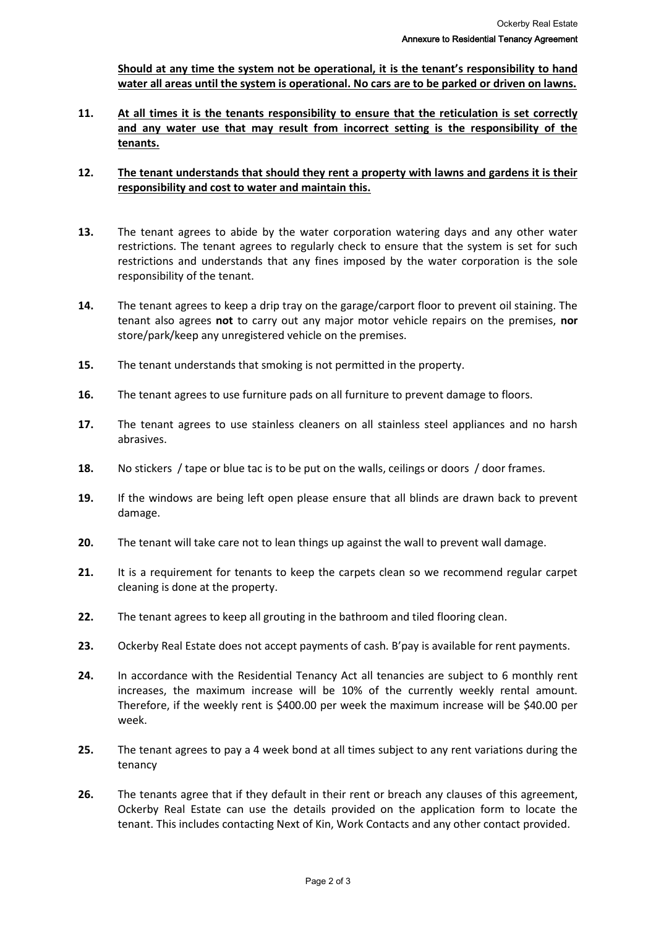**Should at any time the system not be operational, it is the tenant's responsibility to hand water all areas until the system is operational. No cars are to be parked or driven on lawns.**

**11. At all times it is the tenants responsibility to ensure that the reticulation is set correctly and any water use that may result from incorrect setting is the responsibility of the tenants.**

## **12. The tenant understands that should they rent a property with lawns and gardens it is their responsibility and cost to water and maintain this.**

- **13.** The tenant agrees to abide by the water corporation watering days and any other water restrictions. The tenant agrees to regularly check to ensure that the system is set for such restrictions and understands that any fines imposed by the water corporation is the sole responsibility of the tenant.
- **14.** The tenant agrees to keep a drip tray on the garage/carport floor to prevent oil staining. The tenant also agrees **not** to carry out any major motor vehicle repairs on the premises, **nor** store/park/keep any unregistered vehicle on the premises.
- **15.** The tenant understands that smoking is not permitted in the property.
- **16.** The tenant agrees to use furniture pads on all furniture to prevent damage to floors.
- **17.** The tenant agrees to use stainless cleaners on all stainless steel appliances and no harsh abrasives.
- **18.** No stickers / tape or blue tac is to be put on the walls, ceilings or doors / door frames.
- **19.** If the windows are being left open please ensure that all blinds are drawn back to prevent damage.
- **20.** The tenant will take care not to lean things up against the wall to prevent wall damage.
- **21.** It is a requirement for tenants to keep the carpets clean so we recommend regular carpet cleaning is done at the property.
- **22.** The tenant agrees to keep all grouting in the bathroom and tiled flooring clean.
- **23.** Ockerby Real Estate does not accept payments of cash. B'pay is available for rent payments.
- **24.** In accordance with the Residential Tenancy Act all tenancies are subject to 6 monthly rent increases, the maximum increase will be 10% of the currently weekly rental amount. Therefore, if the weekly rent is \$400.00 per week the maximum increase will be \$40.00 per week.
- **25.** The tenant agrees to pay a 4 week bond at all times subject to any rent variations during the tenancy
- **26.** The tenants agree that if they default in their rent or breach any clauses of this agreement, Ockerby Real Estate can use the details provided on the application form to locate the tenant. This includes contacting Next of Kin, Work Contacts and any other contact provided.